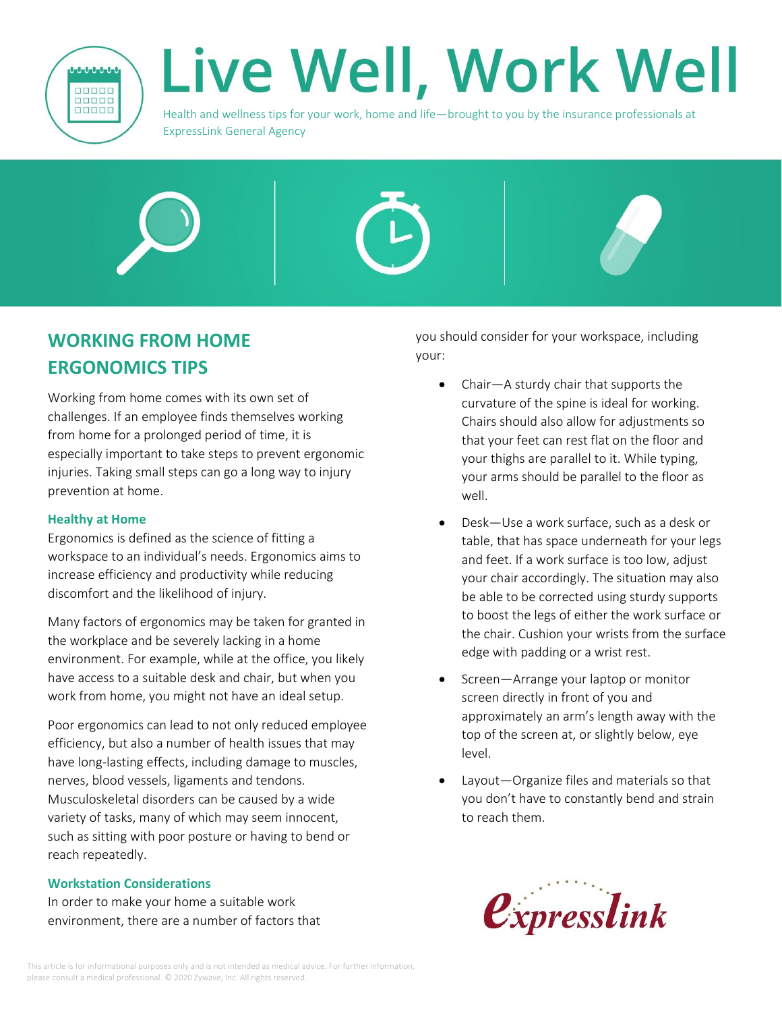

# Live Well, Work Well

Health and wellness tips for your work, home and life—brought to you by the insurance professionals at ExpressLink General Agency



Working from home comes with its own set of challenges. If an employee finds themselves working from home for a prolonged period of time, it is especially important to take steps to prevent ergonomic injuries. Taking small steps can go a long way to injury prevention at home.

# **Healthy at Home**

Ergonomics is defined as the science of fitting a workspace to an individual's needs. Ergonomics aims to increase efficiency and productivity while reducing discomfort and the likelihood of injury.

Many factors of ergonomics may be taken for granted in the workplace and be severely lacking in a home environment. For example, while at the office, you likely have access to a suitable desk and chair, but when you work from home, you might not have an ideal setup.

Poor ergonomics can lead to not only reduced employee efficiency, but also a number of health issues that may have long-lasting effects, including damage to muscles, nerves, blood vessels, ligaments and tendons. Musculoskeletal disorders can be caused by a wide variety of tasks, many of which may seem innocent, such as sitting with poor posture or having to bend or reach repeatedly.

# **Workstation Considerations**

In order to make your home a suitable work environment, there are a number of factors that you should consider for your workspace, including your:

- Chair—A sturdy chair that supports the curvature of the spine is ideal for working. Chairs should also allow for adjustments so that your feet can rest flat on the floor and your thighs are parallel to it. While typing, your arms should be parallel to the floor as well.
- Desk—Use a work surface, such as a desk or table, that has space underneath for your legs and feet. If a work surface is too low, adjust your chair accordingly. The situation may also be able to be corrected using sturdy supports to boost the legs of either the work surface or the chair. Cushion your wrists from the surface edge with padding or a wrist rest.
- Screen-Arrange your laptop or monitor screen directly in front of you and approximately an arm's length away with the top of the screen at, or slightly below, eye level.
- Layout—Organize files and materials so that you don't have to constantly bend and strain to reach them.